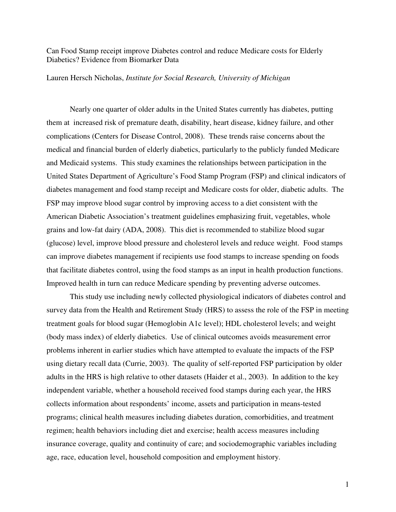Can Food Stamp receipt improve Diabetes control and reduce Medicare costs for Elderly Diabetics? Evidence from Biomarker Data

Lauren Hersch Nicholas, *Institute for Social Research, University of Michigan*

Nearly one quarter of older adults in the United States currently has diabetes, putting them at increased risk of premature death, disability, heart disease, kidney failure, and other complications (Centers for Disease Control, 2008). These trends raise concerns about the medical and financial burden of elderly diabetics, particularly to the publicly funded Medicare and Medicaid systems. This study examines the relationships between participation in the United States Department of Agriculture's Food Stamp Program (FSP) and clinical indicators of diabetes management and food stamp receipt and Medicare costs for older, diabetic adults. The FSP may improve blood sugar control by improving access to a diet consistent with the American Diabetic Association's treatment guidelines emphasizing fruit, vegetables, whole grains and low-fat dairy (ADA, 2008). This diet is recommended to stabilize blood sugar (glucose) level, improve blood pressure and cholesterol levels and reduce weight. Food stamps can improve diabetes management if recipients use food stamps to increase spending on foods that facilitate diabetes control, using the food stamps as an input in health production functions. Improved health in turn can reduce Medicare spending by preventing adverse outcomes.

This study use including newly collected physiological indicators of diabetes control and survey data from the Health and Retirement Study (HRS) to assess the role of the FSP in meeting treatment goals for blood sugar (Hemoglobin A1c level); HDL cholesterol levels; and weight (body mass index) of elderly diabetics. Use of clinical outcomes avoids measurement error problems inherent in earlier studies which have attempted to evaluate the impacts of the FSP using dietary recall data (Currie, 2003). The quality of self-reported FSP participation by older adults in the HRS is high relative to other datasets (Haider et al., 2003). In addition to the key independent variable, whether a household received food stamps during each year, the HRS collects information about respondents' income, assets and participation in means-tested programs; clinical health measures including diabetes duration, comorbidities, and treatment regimen; health behaviors including diet and exercise; health access measures including insurance coverage, quality and continuity of care; and sociodemographic variables including age, race, education level, household composition and employment history.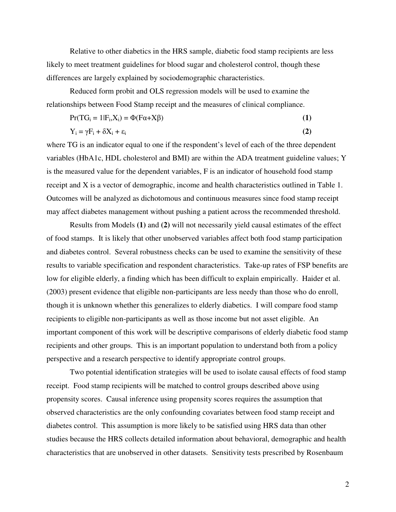Relative to other diabetics in the HRS sample, diabetic food stamp recipients are less likely to meet treatment guidelines for blood sugar and cholesterol control, though these differences are largely explained by sociodemographic characteristics.

Reduced form probit and OLS regression models will be used to examine the relationships between Food Stamp receipt and the measures of clinical compliance.

$$
Pr(TG_i = 1|F_i, X_i) = \Phi(F\alpha + X\beta)
$$
\n(1)

$$
Y_i = \gamma F_i + \delta X_i + \varepsilon_i \tag{2}
$$

where TG is an indicator equal to one if the respondent's level of each of the three dependent variables (HbA1c, HDL cholesterol and BMI) are within the ADA treatment guideline values; Y is the measured value for the dependent variables, F is an indicator of household food stamp receipt and X is a vector of demographic, income and health characteristics outlined in Table 1. Outcomes will be analyzed as dichotomous and continuous measures since food stamp receipt may affect diabetes management without pushing a patient across the recommended threshold.

Results from Models **(1)** and **(2)** will not necessarily yield causal estimates of the effect of food stamps. It is likely that other unobserved variables affect both food stamp participation and diabetes control. Several robustness checks can be used to examine the sensitivity of these results to variable specification and respondent characteristics. Take-up rates of FSP benefits are low for eligible elderly, a finding which has been difficult to explain empirically. Haider et al. (2003) present evidence that eligible non-participants are less needy than those who do enroll, though it is unknown whether this generalizes to elderly diabetics. I will compare food stamp recipients to eligible non-participants as well as those income but not asset eligible. An important component of this work will be descriptive comparisons of elderly diabetic food stamp recipients and other groups. This is an important population to understand both from a policy perspective and a research perspective to identify appropriate control groups.

Two potential identification strategies will be used to isolate causal effects of food stamp receipt. Food stamp recipients will be matched to control groups described above using propensity scores. Causal inference using propensity scores requires the assumption that observed characteristics are the only confounding covariates between food stamp receipt and diabetes control. This assumption is more likely to be satisfied using HRS data than other studies because the HRS collects detailed information about behavioral, demographic and health characteristics that are unobserved in other datasets. Sensitivity tests prescribed by Rosenbaum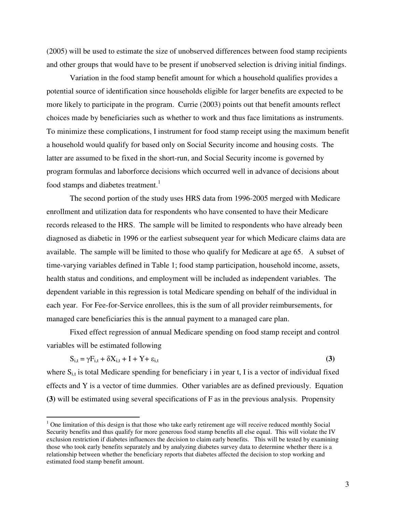(2005) will be used to estimate the size of unobserved differences between food stamp recipients and other groups that would have to be present if unobserved selection is driving initial findings.

Variation in the food stamp benefit amount for which a household qualifies provides a potential source of identification since households eligible for larger benefits are expected to be more likely to participate in the program. Currie (2003) points out that benefit amounts reflect choices made by beneficiaries such as whether to work and thus face limitations as instruments. To minimize these complications, I instrument for food stamp receipt using the maximum benefit a household would qualify for based only on Social Security income and housing costs. The latter are assumed to be fixed in the short-run, and Social Security income is governed by program formulas and laborforce decisions which occurred well in advance of decisions about food stamps and diabetes treatment.<sup>1</sup>

The second portion of the study uses HRS data from 1996-2005 merged with Medicare enrollment and utilization data for respondents who have consented to have their Medicare records released to the HRS. The sample will be limited to respondents who have already been diagnosed as diabetic in 1996 or the earliest subsequent year for which Medicare claims data are available. The sample will be limited to those who qualify for Medicare at age 65. A subset of time-varying variables defined in Table 1; food stamp participation, household income, assets, health status and conditions, and employment will be included as independent variables. The dependent variable in this regression is total Medicare spending on behalf of the individual in each year. For Fee-for-Service enrollees, this is the sum of all provider reimbursements, for managed care beneficiaries this is the annual payment to a managed care plan.

Fixed effect regression of annual Medicare spending on food stamp receipt and control variables will be estimated following

$$
S_{i,t} = \gamma F_{i,t} + \delta X_{i,t} + I + Y + \varepsilon_{i,t}
$$
\n(3)

where  $S_{i,t}$  is total Medicare spending for beneficiary i in year t, I is a vector of individual fixed effects and Y is a vector of time dummies. Other variables are as defined previously. Equation **(3)** will be estimated using several specifications of F as in the previous analysis. Propensity

 $\overline{a}$ 

 $1$  One limitation of this design is that those who take early retirement age will receive reduced monthly Social Security benefits and thus qualify for more generous food stamp benefits all else equal. This will violate the IV exclusion restriction if diabetes influences the decision to claim early benefits. This will be tested by examining those who took early benefits separately and by analyzing diabetes survey data to determine whether there is a relationship between whether the beneficiary reports that diabetes affected the decision to stop working and estimated food stamp benefit amount.